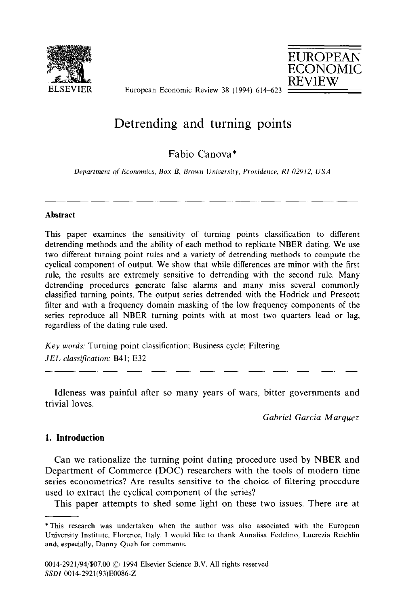

EUROPEAN ECONOMIC REVIEW

European Economic Review 38 (1994) 614-623

# Detrending and turning points

# Fabio Canova\*

*Department of Economics, Box B, Brown Unioersity, Providence, RI 02912, USA* 

# **Abstract**

This paper examines the sensitivity of turning points classification to different detrending methods and the ability of each method to replicate NBER dating. We use two different turning point rules and a variety of detrending methods to compute the cyclical component of output. We show that while differences are minor with the first rule, the results are extremely sensitive to detrending with the second rule. Many detrending procedures generate false alarms and many miss several commonly classified turning points. The output series detrended with the Hodrick and Prescott filter and with a frequency domain masking of the low frequency components of the series reproduce all NBER turning points with at most two quarters lead or lag, regardless of the dating rule used.

Key words: Turning point classification; Business cycle; Filtering JEL classification: B41; E32

Idleness was painful after so many years of wars, bitter governments and trivial loves.

*Gabriel Garcia Marquez* 

# *1.* **Introduction**

Can we rationalize the turning point dating procedure used by NBER and Department of Commerce (DOC) researchers with the tools of modern time series econometrics? Are results sensitive to the choice of filtering procedure used to extract the cyclical component of the series?

This paper attempts to shed some light on these two issues. There are at

<sup>\*</sup>This research was undertaken when the author was also associated with the European University Institute, Florence, Italy. I would like to thank Annalisa Fedelino, Lucrezia Reichlin and, especially, Danny Quah for comments.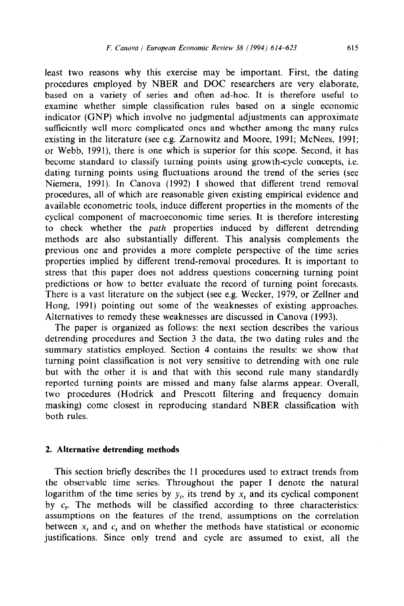least two reasons why this exercise may be important. First, the dating procedures employed by NBER and DOC researchers are very elaborate, based on a variety of series and often ad-hoc. It is therefore useful to examine whether simple classification rules based on a single economic indicator (GNP) which involve no judgmental adjustments can approximate sufficiently well more complicated ones and whether among the many rules existing in the literature (see e.g. Zarnowitz and Moore, 1991; McNees, 1991; or Webb, 1991), there is one which is superior for this scope. Second, it has become standard to classify turning points using growth-cycle concepts, i.e. dating turning points using fluctuations around the trend of the series (see Niemera, 1991). In Canova (1992) I showed that different trend removal procedures, all of which are reasonable given existing empirical evidence and available econometric tools, induce different properties in the moments of the cyclical component of macroeconomic time series. It is therefore interesting to check whether the *path* properties induced by different detrending methods are also substantially different. This analysis complements the previous one and provides a more complete perspective of the time series properties implied by different trend-removal procedures. It is important to stress that this paper does not address questions concerning turning point predictions or how to better evaluate the record of turning point forecasts. There is a vast literature on the subject (see e.g. Wecker, 1979, or Zellner and Hong, 1991) pointing out some of the weaknesses of existing approaches. Alternatives to remedy these weaknesses are discussed in Canova (1993).

The paper is organized as follows: the next section describes the various detrending procedures and Section 3 the data, the two dating rules and the summary statistics employed. Section 4 contains the results: we show that turning point classification is not very sensitive to detrending with one rule but with the other it is and that with this second rule many standardly reported turning points are missed and many false alarms appear. Overall, two procedures (Hodrick and Prescott filtering and frequency domain masking) come closest in reproducing standard NBER classification with both rules.

#### 2. **Alternative detrending methods**

This section briefly describes the 11 procedures used to extract trends from the observable time series. Throughout the paper I denote the natural logarithm of the time series by  $y_t$ , its trend by x, and its cyclical component by  $c_t$ . The methods will be classified according to three characteristics: assumptions on the features of the trend, assumptions on the correlation between  $x_t$  and  $c_t$  and on whether the methods have statistical or economic justifications. Since only trend and cycle are assumed to exist, all the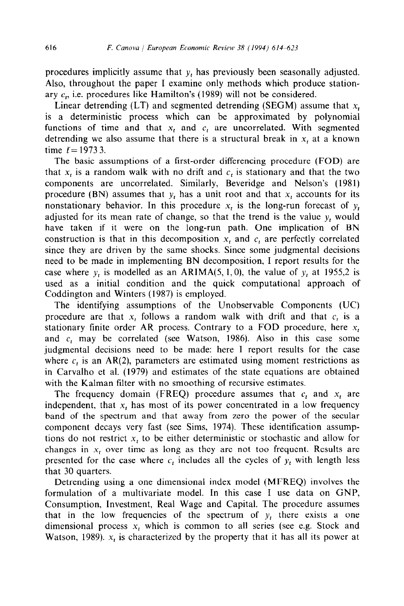procedures implicitly assume that  $y_t$  has previously been seasonally adjusted. Also, throughout the paper I examine only methods which produce stationary  $c<sub>r</sub>$ , i.e. procedures like Hamilton's (1989) will not be considered.

Linear detrending  $(LT)$  and segmented detrending (SEGM) assume that  $x<sub>t</sub>$ is a deterministic process which can be approximated by polynomial functions of time and that  $x_t$  and  $c_t$  are uncorrelated. With segmented detrending we also assume that there is a structural break in  $x_t$  at a known time  $t = 19733$ .

The basic assumptions of a first-order differencing procedure (FOD) are that  $x_t$  is a random walk with no drift and  $c_t$  is stationary and that the two components are uncorrelated. Similarly, Beveridge and Nelson's (1981) procedure (BN) assumes that  $y_t$  has a unit root and that  $x_t$  accounts for its nonstationary behavior. In this procedure  $x_t$  is the long-run forecast of  $y_t$ adjusted for its mean rate of change, so that the trend is the value  $y_t$  would have taken if it were on the long-run path. One implication of BN construction is that in this decomposition  $x<sub>t</sub>$  and  $c<sub>t</sub>$  are perfectly correlated since they are driven by the same shocks. Since some judgmental decisions need to be made in implementing BN decomposition, I report results for the case where  $y_t$  is modelled as an ARIMA(5, 1, 0), the value of  $y_t$  at 1955,2 is used as a initial condition and the quick computational approach of Coddington and Winters (1987) is employed.

The identifying assumptions of the Unobservable Components (UC) procedure are that  $x<sub>t</sub>$  follows a random walk with drift and that  $c<sub>t</sub>$  is a stationary finite order AR process. Contrary to a FOD procedure, here  $x_t$ and  $c_t$  may be correlated (see Watson, 1986). Also in this case some judgmental decisions need to be made: here I report results for the case where  $c_t$  is an AR(2), parameters are estimated using moment restrictions as in Carvalho et al. (1979) and estimates of the state equations are obtained with the Kalman filter with no smoothing of recursive estimates.

The frequency domain (FREQ) procedure assumes that  $c_t$  and  $x_t$  are independent, that  $x_t$  has most of its power concentrated in a low frequency band of the spectrum and that away from zero the power of the secular component decays very fast (see Sims, 1974). These identification assumptions do not restrict x, to be either deterministic or stochastic and allow for changes in  $x_t$  over time as long as they are not too frequent. Results are presented for the case where  $c<sub>t</sub>$  includes all the cycles of  $y<sub>t</sub>$  with length less that 30 quarters.

Detrending using a one dimensional index model (MFREQ) involves the formulation of a multivariate model. In this case I use data on GNP, Consumption, Investment, Real Wage and Capital. The procedure assumes that in the low frequencies of the spectrum of  $y_t$  there exists a one dimensional process  $x<sub>t</sub>$ , which is common to all series (see e.g. Stock and Watson, 1989).  $x_t$  is characterized by the property that it has all its power at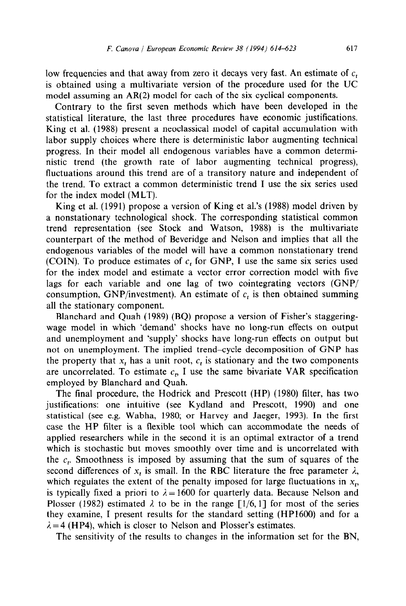low frequencies and that away from zero it decays very fast. An estimate of  $c<sub>t</sub>$ is obtained using a multivariate version of the procedure used for the UC model assuming an AR(2) model for each of the six cyclical components.

Contrary to the first seven methods which have been developed in the statistical literature, the last three procedures have economic justifications. King et al. (1988) present a neoclassical model of capital accumulation with labor supply choices where there is deterministic labor augmenting technical progress. In their model all endogenous variables have a common deterministic trend (the growth rate of labor augmenting technical progress), fluctuations around this trend are of a transitory nature and independent of the trend. To extract a common deterministic trend I use the six series used for the index model (MLT).

King et al. (1991) propose a version of King et al.'s (1988) model driven by a nonstationary technological shock. The corresponding statistical common trend representation (see Stock and Watson, 1988) is the multivariate counterpart of the method of Beveridge and Nelson and implies that all the endogenous variables of the model will have a common nonstationary trend (COIN). To produce estimates of  $c<sub>t</sub>$  for GNP, I use the same six series used for the index model and estimate a vector error correction model with five lags for each variable and one lag of two cointegrating vectors (GNP/ consumption, GNP/investment). An estimate of  $c<sub>t</sub>$  is then obtained summing all the stationary component.

Blanchard and Quah (1989) (BQ) propose a version of Fisher's staggeringwage model in which 'demand' shocks have no long-run effects on output and unemployment and 'supply' shocks have long-run effects on output but not on unemployment. The implied trend-cycle decomposition of GNP has the property that  $x_t$ , has a unit root,  $c_t$ , is stationary and the two components are uncorrelated. To estimate  $c_n$ , I use the same bivariate VAR specification employed by Blanchard and Quah.

The final procedure, the Hodrick and Prescott (HP) (1980) filter, has two justifications: one intuitive (see Kydland and Prescott, 1990) and one statistical (see e.g. Wabha, 1980; or Harvey and Jaeger, 1993). In the first case the HP filter is a flexible tool which can accommodate the needs of applied researchers while in the second it is an optimal extractor of a trend which is stochastic but moves smoothly over time and is uncorrelated with the  $c<sub>r</sub>$ . Smoothness is imposed by assuming that the sum of squares of the second differences of  $x_t$  is small. In the RBC literature the free parameter  $\lambda$ , which regulates the extent of the penalty imposed for large fluctuations in  $x<sub>t</sub>$ , is typically fixed a priori to  $\lambda = 1600$  for quarterly data. Because Nelson and Plosser (1982) estimated  $\lambda$  to be in the range [1/6, 1] for most of the series they examine, I present results for the standard setting (HP1600) and for a  $\lambda = 4$  (HP4), which is closer to Nelson and Plosser's estimates.

The sensitivity of the results to changes in the information set for the BN,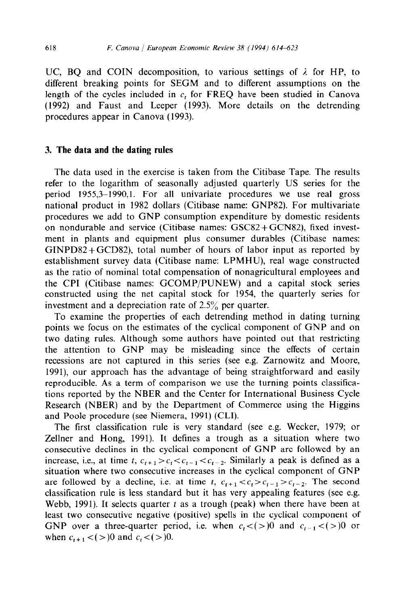UC, BQ and COIN decomposition, to various settings of  $\lambda$  for HP, to different breaking points for SEGM and to different assumptions on the length of the cycles included in  $c<sub>t</sub>$  for FREQ have been studied in Canova (1992) and Faust and Leeper (1993). More details on the detrending procedures appear in Canova (1993).

### 3. **The data and the dating rules**

The data used in the exercise is taken from the Citibase Tape. The results refer to the logarithm of seasonally adjusted quarterly US series for the period 1955,3-1990,l. For all univariate procedures we use real gross national product in 1982 dollars (Citibase name: GNP82). For multivariate procedures we add to GNP consumption expenditure by domestic residents on nondurable and service (Citibase names: GSC82+GCN82), fixed investment in plants and equipment plus consumer durables (Citibase names:  $GINPD82+GCD82$ , total number of hours of labor input as reported by establishment survey data (Citibase name: LPMHU), real wage constructed as the ratio of nominal total compensation of nonagricultural employees and the CPI (Citibase names: GCOMP/PUNEW) and a capital stock series constructed using the net capital stock for 1954, the quarterly series for investment and a depreciation rate of 2.5% per quarter.

To examine the properties of each detrending method in dating turning points we focus on the estimates of the cyclical component of GNP and on two dating rules. Although some authors have pointed out that restricting the attention to GNP may be misleading since the effects of certain recessions are not captured in this series (see e.g. Zarnowitz and Moore, 1991), our approach has the advantage of being straightforward and easily reproducible. As a term of comparison we use the turning points classifications reported by the NBER and the Center for International Business Cycle Research (NBER) and by the Department of Commerce using the Higgins and Poole procedure (see Niemera, 1991) (CLI).

The first classification rule is very standard (see e.g. Wecker, 1979; or Zellner and Hong, 1991). It defines a trough as a situation where two consecutive declines in the cyclical component of GNP are followed by an increase, i.e., at time t,  $c_{t+1} > c_t < c_{t-1} < c_{t-2}$ . Similarly a peak is defined as a situation where two consecutive increases in the cyclical component of GNP are followed by a decline, i.e. at time t,  $c_{t+1} < c_t > c_{t-1} > c_{t-2}$ . The second classification rule is less standard but it has very appealing features (see e.g. Webb, 1991). It selects quarter  $t$  as a trough (peak) when there have been at least two consecutive negative (positive) spells in the cyclical component of GNP over a three-quarter period, i.e. when  $c_i < (>\, >)0$  and  $c_{i-1} < (>\, >)0$  or when  $c_{t+1} < ( >)0$  and  $c_t < ( >)0$ .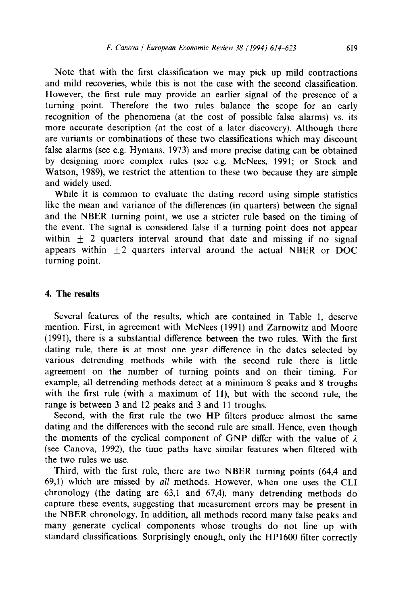Note that with the first classification we may pick up mild contractions and mild recoveries, while this is not the case with the second classification. However, the first rule may provide an earlier signal of the presence of a turning point. Therefore the two rules balance the scope for an early recognition of the phenomena (at the cost of possible false alarms) vs. its more accurate description (at the cost of a later discovery). Although there are variants or combinations of these two classifications which may discount false alarms (see e.g. Hymans, 1973) and more precise dating can be obtained by designing more complex rules (see e.g. McNees, 1991; or Stock and Watson, 1989), we restrict the attention to these two because they are simple and widely used.

While it is common to evaluate the dating record using simple statistics like the mean and variance of the differences (in quarters) between the signal and the NBER turning point, we use a stricter rule based on the timing of the event. The signal is considered false if a turning point does not appear within  $\pm$  2 quarters interval around that date and missing if no signal appears within  $\pm 2$  quarters interval around the actual NBER or DOC turning point.

# 4. **The results**

Several features of the results, which are contained in Table 1, deserve mention. First, in agreement with McNees (1991) and Zarnowitz and Moore (1991), there is a substantial difference between the two rules. With the first dating rule, there is at most one year difference in the dates selected by various detrending methods while with the second rule there is little agreement on the number of turning points and on their timing. For example, all detrending methods detect at a minimum 8 peaks and 8 troughs with the first rule (with a maximum of 11), but with the second rule, the range is between 3 and 12 peaks and 3 and 11 troughs.

Second, with the first rule the two HP filters produce almost the same dating and the differences with the second rule are small. Hence, even though the moments of the cyclical component of GNP differ with the value of  $\lambda$ (see Canova, 1992), the time paths have similar features when filtered with the two rules we use.

Third, with the first rule, there are two NBER turning points (64,4 and 69,l) which are missed by all methods. However, when one uses the CL1 chronology (the dating are  $63,1$  and  $67,4$ ), many detrending methods do capture these events, suggesting that measurement errors may be present in the NBER chronology. In addition, all methods record many false peaks and many generate cyclical components whose troughs do not line up with standard classifications. Surprisingly enough, only the HP1600 filter correctly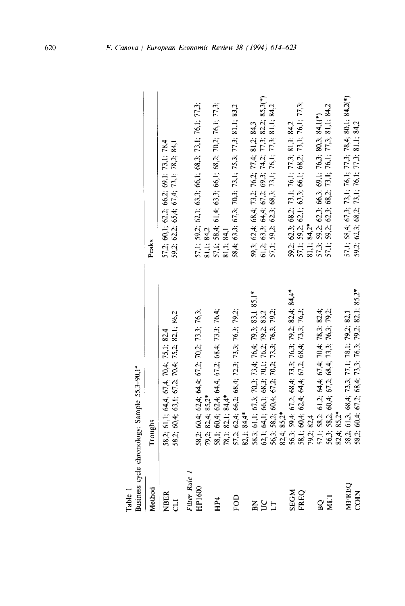|                       | $y_{\text{max}}$ eyes eyes on the complete $y_{\text{max}}$                                                                                                              |                                                                                                                                                           |
|-----------------------|--------------------------------------------------------------------------------------------------------------------------------------------------------------------------|-----------------------------------------------------------------------------------------------------------------------------------------------------------|
| Method                | Troughs                                                                                                                                                                  | Peaks                                                                                                                                                     |
| <b>NBER</b><br>JJ     | 58,2; 61,1; 64,4, 67,4, 70,4; 75,1; 82,4<br>58,2; 60,4; 63,1; 67,2; 70,4; 75,2; 82,1; 86,2                                                                               | 57,2; 60,1; 62,2; 66,2; 69,1; 73,1; 78,4<br>59,2; 62,2; 65,4; 67,4; 73,1; 78,2; 84,1                                                                      |
|                       |                                                                                                                                                                          |                                                                                                                                                           |
| Filter Rule<br>HP1600 | 58,2; 60,4; 62,4; 64,4; 67,2; 70,2; 73,3; 76,3;                                                                                                                          | 57,1; 59,2; 62,1; 63,3; 66,1; 68,3; 73,1; 76,1; 77,3;                                                                                                     |
|                       | 82,4; 85,2*<br>$79.2$ ;                                                                                                                                                  | 81,1; 84,2                                                                                                                                                |
| HP <sub>4</sub>       | 58,1; 60,4; 62,4; 64,4; 67,2; 68,4; 73,3; 76,4;                                                                                                                          | 57,1; 58,4; 61,4; 63,3; 66,1; 68,2; 70,2; 76,1; 77,3;<br>81,1; 84,1                                                                                       |
|                       | 82.1; 84.4*<br>78.1:1                                                                                                                                                    |                                                                                                                                                           |
| FOD                   | 62,4; 66,2; 68,4; 72,3; 73,3; 76,3; 79,2;<br>$57.2$ ;                                                                                                                    | 58,4; 63,3; 67,3; 70,3; 73,1; 75,3; 77,3; 81,1; 83,2                                                                                                      |
|                       | 82.1; 84,4*                                                                                                                                                              |                                                                                                                                                           |
| $\mathbf{z}$          |                                                                                                                                                                          | 59,3; 62,4; 68,4; 73,2; 76,2; 77,4; 81,2; 84,3<br>61,2; 63,3; 64,4; 67,2; 69,3; 74,2; 77,3; 82,2; 85,3(*)                                                 |
|                       |                                                                                                                                                                          |                                                                                                                                                           |
| 55 <sub>1</sub>       |                                                                                                                                                                          | 62,3; 68,3; 73,1; 76,1; 77,3; 81,1; 84,2<br>57,1; 59,2;                                                                                                   |
|                       | 58.3; 61.1; 67.3; 70.3; 73,4; 76,4; 79,3; 83.1 85.1*<br>62.1; 64.1; 66.1; 68.3; 70.1; 76.2; 79.2; 83.2<br>56.3; 58.2; 60,4; 67.2; 70.2; 73.3; 76.3; 79.2;<br>82.4; 85,2* |                                                                                                                                                           |
| <b>ND3S</b>           | 59,4; 67,2; 68,4; 73,3; 76,3; 79,2; 82,4; 84,4*                                                                                                                          |                                                                                                                                                           |
| <b>FREQ</b>           | 68,4; 73,3; 76,3;<br>56,3; 59,4; 67,2; 68,4; 73,3;<br>58,1; 60,4; 62,4; 64,4; 67,2;                                                                                      | $59,2$ ; $62,3$ ; $68,2$ ; $73,1$ ; $76,1$ ; $77,3$ ; $81,1$ ; $84,2$<br>$57,1$ ; $59,2$ ; $62,1$ ; $63,3$ ; $66,1$ ; $68,2$ ; $73,1$ ; $76,1$ ; $77,3$ ; |
|                       | 82,4<br>$79.2$ ;                                                                                                                                                         | $81.1; 84.2*$                                                                                                                                             |
| $\mathbf{R}$          |                                                                                                                                                                          |                                                                                                                                                           |
| <b>NIT</b>            | 57.1: 58.2: 61.2: 64.4: 67.4: 70.4: 78.3: 82.4;<br>56.3: 58.2: 60.4: 67.2: 68.4: 73.3: 76.3: 79.2:<br>82.4: 85.2*<br>58.2: 61.3: 68.4: 73.3: 77.1: 78.1: 79.2: 82.1      | 57.3; 59.2; 62.3; 66.3; 69.1; 76.3; 80.3; 84.1(*)<br>57.1; 59.2; 62.3; 68.2; 73.1; 76.1; 77.3; 81.1; 84.2                                                 |
|                       |                                                                                                                                                                          |                                                                                                                                                           |
| <b>MFREQ</b>          |                                                                                                                                                                          | 57,1; 58,4; 67,3; 73,1; 76,1; 77,3; 78,4; 80,1; 84,2(*)                                                                                                   |
| COIN                  | 58.2: 60.4; 67.2; 68.4; 73.3; 76.3; 79.2; 82.1; 85.2*                                                                                                                    | 59.2; 62.3; 68.2; 73.1; 76.1; 77.3; 81.1; 84.2                                                                                                            |

Table 1<br>Business cvcle chronology: Sample 55,3-90,1<sup>ª</sup>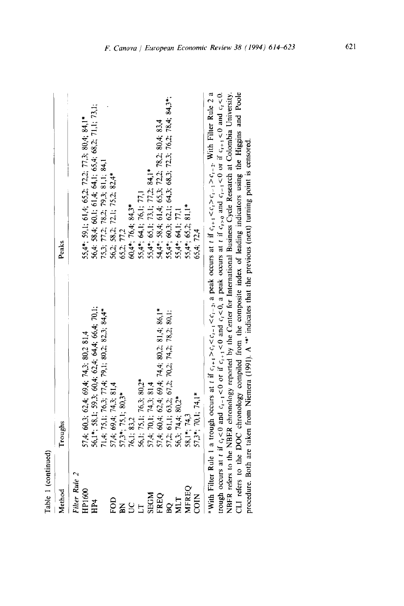| Method                   | Troughs                                                                                                                      | Peaks                                                                                                                                                                                             |
|--------------------------|------------------------------------------------------------------------------------------------------------------------------|---------------------------------------------------------------------------------------------------------------------------------------------------------------------------------------------------|
| Filter Rule 2            |                                                                                                                              |                                                                                                                                                                                                   |
| HP1600                   | 57,4; 60,3; 62,4; 69,4; 74,3; 80,2 81,4                                                                                      | $55,4^*$ ; $59,1$ ; $61,4$ ; $65,2$ ; $72,2$ ; $77,3$ ; $80,4$ ; $84,1^*$                                                                                                                         |
| HP4                      | 56,1*; 58,1; 59,3; 60,4; 62,4; 64,4; 66,4; 70,1;                                                                             | 56,4: 58,4; 60,1; 61,4; 64,1; 65,4; 68,2; 71,1; 73,1;                                                                                                                                             |
|                          | 71.4; 75.1; 76.3; 77.4; 79.1; 80.2; 82.3; 84.4*                                                                              |                                                                                                                                                                                                   |
| FOD                      |                                                                                                                              | 75,3; 77,2; 78,2; 79,3; 81,1; 84,1<br>56,2; 58,2; 72,1; 75,2; 82,4*<br>65,2; 77,2                                                                                                                 |
| $\widetilde{\mathbf{z}}$ | $57,4$ ; $69,4$ ; $74,3$ ; $81,4$<br>$57,3$ *; $75,1$ ; $80,3$ *                                                             |                                                                                                                                                                                                   |
| S                        | 76,1; 83,2                                                                                                                   |                                                                                                                                                                                                   |
|                          | 56,1; 75,1; 76,3; 80,2*                                                                                                      | $60.4^*$ , 76,4; 84,3*<br>55,4*; 64,1; 76,1; 77,1<br>55,4*; 65,1; 73,1; 77,2; 84,1*<br>54,4*; 58,4; 61,4; 65,3; 72,2; 78,2; 80,4; 83,4<br>55,4*; 60,3; 62,1; 64,3; 68,3; 72,3; 76,2; 78,4; 84,3*; |
| <b>NDGE</b>              |                                                                                                                              |                                                                                                                                                                                                   |
| FREQ                     | 57,4; 70,1; 74,3; 81,4<br>57,4; 60,4; 62,4; 69,4; 74,4; 80,2; 81,4; 86,1*<br>57,2; 61,1; 63,2; 67,2; 70,2; 74,2; 78,2; 80,1; |                                                                                                                                                                                                   |
| <b>DE</b>                |                                                                                                                              |                                                                                                                                                                                                   |
| MLT                      | $56,3, 74,4, 80,2*$                                                                                                          | 55,4*; 64,1; 77,1                                                                                                                                                                                 |
| <b>MFREQ</b>             | $58.1^*$ , 74,3                                                                                                              | $81,1*$<br>$55,4$ *; 65,2;                                                                                                                                                                        |
| COIN                     | $57,3$ *; 70,1; 74,1*                                                                                                        | 65,4; 72,4                                                                                                                                                                                        |

 $\mathbb{L}$  $\varpi$ NBER refers to the NBER chronology reported by the Center for International Business Cycle Research at Colombia University.<br>CLI refers to the DOC chronology compiled from the composite index of leading indicators using the trough occurs at t if  $c_i < 0$  and  $c_{i-1} < 0$  or if  $c_{i+1} < 0$  and  $c_i < 0$ , a peak occurs at t if  $c_{i>0}$  and  $c_{i-1} < 0$  or if  $c_{i+1} < 0$  and  $c_i < 0$ . procedure. Both are taken from Niemera (1991). A "nidicates that the previous (next) turning point is censored.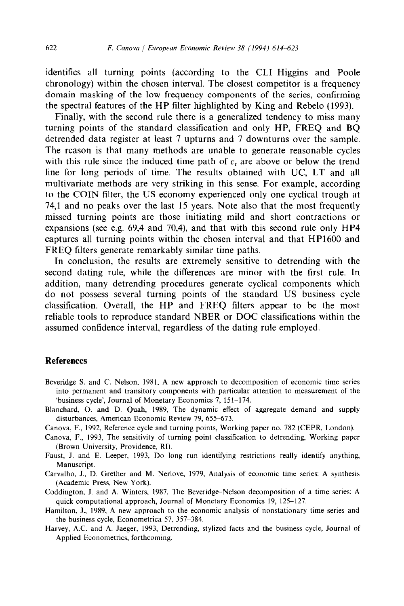identifies all turning points (according to the CLI-Higgins and Poole chronology) within the chosen interval. The closest competitor is a frequency domain masking of the low frequency components of the series, confirming the spectral features of the HP filter highlighted by King and Rebel0 (1993).

Finally, with the second rule there is a generalized tendency to miss many turning points of the standard classification and only HP, FREQ and BQ detrended data register at least 7 upturns and 7 downturns over the sample. The reason is that many methods are unable to generate reasonable cycles with this rule since the induced time path of  $c<sub>t</sub>$  are above or below the trend line for long periods of time. The results obtained with UC, LT and all multivariate methods are very striking in this sense. For example, according to the COIN filter, the US economy experienced only one cyclical trough at 74,l and no peaks over the last 15 years. Note also that the most frequently missed turning points are those initiating mild and short contractions or expansions (see e.g. 69,4 and 70,4), and that with this second rule only HP4 captures all turning points within the chosen interval and that HP1600 and FREQ filters generate remarkably similar time paths.

In conclusion, the results are extremely sensitive to detrending with the second dating rule, while the differences are minor with the first rule. In addition, many detrending procedures generate cyclical components which do not possess several turning points of the standard US business cycle classification. Overall, the HP and FREQ filters appear to be the most reliable tools to reproduce standard NBER or DOC classifications within the assumed confidence interval, regardless of the dating rule employed.

# **References**

- Beveridge S. and C. Nelson, 1981, A new approach to decomposition of economic time series into permanent and transitory components with particular attention to measurement of the 'business cycle', Journal of Monetary Economics 7, 151-174.
- Blanchard, 0. and D. Quah, 1989, The dynamic effect of aggregate demand and supply disturbances, American Economic Review 79, 655-673.
- Canova, F., 1992, Reference cycle and turning points, Working paper no. 782 (CEPR, London).
- Canova, F., 1993, The sensitivity of turning point classification to detrending, Working paper (Brown University, Providence, RI).
- Faust, J. and E. Leeper, 1993, Do long run identifying restrictions really identify anything, Manuscript.
- Carvalho, J., D. Grether and M. Nerlove, 1979, Analysis of economic time series: A synthesis (Academic Press, New York).
- Coddington, J. and A. Winters, 1987, The Beveridge-Nelson decomposition of a time series: A quick computational approach, Journal of Monetary Economics 19, 125-127.
- Hamilton, J., 1989, A new approach to the economic analysis of nonstationary time series and the business cycle, Econometrica 57, 357-384.
- Harvey, A.C. and A. Jaeger, 1993, Detrending, stylized facts and the business cycle, Journal of Applied Econometrics, forthcoming.